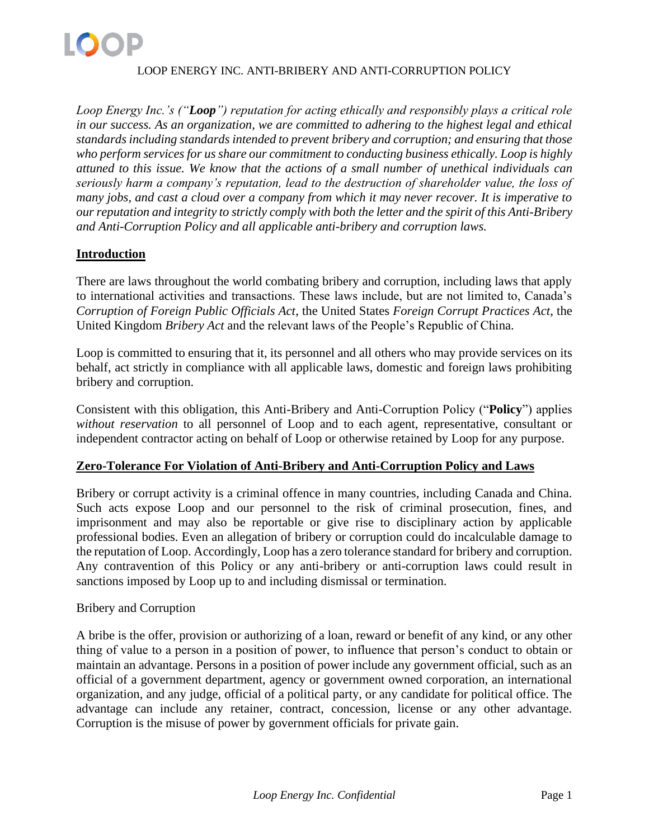

*Loop Energy Inc.'s ("Loop") reputation for acting ethically and responsibly plays a critical role in our success. As an organization, we are committed to adhering to the highest legal and ethical standards including standards intended to prevent bribery and corruption; and ensuring that those who perform services for us share our commitment to conducting business ethically. Loop is highly attuned to this issue. We know that the actions of a small number of unethical individuals can seriously harm a company's reputation, lead to the destruction of shareholder value, the loss of many jobs, and cast a cloud over a company from which it may never recover. It is imperative to our reputation and integrity to strictly comply with both the letter and the spirit of this Anti-Bribery and Anti-Corruption Policy and all applicable anti-bribery and corruption laws.*

# **Introduction**

There are laws throughout the world combating bribery and corruption, including laws that apply to international activities and transactions. These laws include, but are not limited to, Canada's *Corruption of Foreign Public Officials Act*, the United States *Foreign Corrupt Practices Act*, the United Kingdom *Bribery Act* and the relevant laws of the People's Republic of China.

Loop is committed to ensuring that it, its personnel and all others who may provide services on its behalf, act strictly in compliance with all applicable laws, domestic and foreign laws prohibiting bribery and corruption.

Consistent with this obligation, this Anti-Bribery and Anti-Corruption Policy ("**Policy**") applies *without reservation* to all personnel of Loop and to each agent, representative, consultant or independent contractor acting on behalf of Loop or otherwise retained by Loop for any purpose.

# **Zero-Tolerance For Violation of Anti-Bribery and Anti-Corruption Policy and Laws**

Bribery or corrupt activity is a criminal offence in many countries, including Canada and China. Such acts expose Loop and our personnel to the risk of criminal prosecution, fines, and imprisonment and may also be reportable or give rise to disciplinary action by applicable professional bodies. Even an allegation of bribery or corruption could do incalculable damage to the reputation of Loop. Accordingly, Loop has a zero tolerance standard for bribery and corruption. Any contravention of this Policy or any anti-bribery or anti-corruption laws could result in sanctions imposed by Loop up to and including dismissal or termination.

#### Bribery and Corruption

A bribe is the offer, provision or authorizing of a loan, reward or benefit of any kind, or any other thing of value to a person in a position of power, to influence that person's conduct to obtain or maintain an advantage. Persons in a position of power include any government official, such as an official of a government department, agency or government owned corporation, an international organization, and any judge, official of a political party, or any candidate for political office. The advantage can include any retainer, contract, concession, license or any other advantage. Corruption is the misuse of power by government officials for private gain.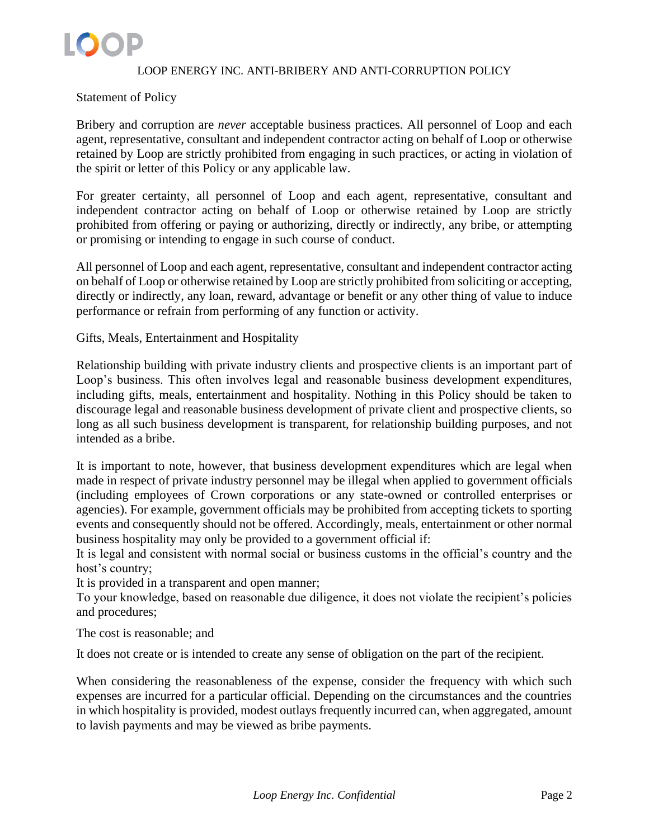

### Statement of Policy

Bribery and corruption are *never* acceptable business practices. All personnel of Loop and each agent, representative, consultant and independent contractor acting on behalf of Loop or otherwise retained by Loop are strictly prohibited from engaging in such practices, or acting in violation of the spirit or letter of this Policy or any applicable law.

For greater certainty, all personnel of Loop and each agent, representative, consultant and independent contractor acting on behalf of Loop or otherwise retained by Loop are strictly prohibited from offering or paying or authorizing, directly or indirectly, any bribe, or attempting or promising or intending to engage in such course of conduct.

All personnel of Loop and each agent, representative, consultant and independent contractor acting on behalf of Loop or otherwise retained by Loop are strictly prohibited from soliciting or accepting, directly or indirectly, any loan, reward, advantage or benefit or any other thing of value to induce performance or refrain from performing of any function or activity.

Gifts, Meals, Entertainment and Hospitality

Relationship building with private industry clients and prospective clients is an important part of Loop's business. This often involves legal and reasonable business development expenditures, including gifts, meals, entertainment and hospitality. Nothing in this Policy should be taken to discourage legal and reasonable business development of private client and prospective clients, so long as all such business development is transparent, for relationship building purposes, and not intended as a bribe.

It is important to note, however, that business development expenditures which are legal when made in respect of private industry personnel may be illegal when applied to government officials (including employees of Crown corporations or any state-owned or controlled enterprises or agencies). For example, government officials may be prohibited from accepting tickets to sporting events and consequently should not be offered. Accordingly, meals, entertainment or other normal business hospitality may only be provided to a government official if:

It is legal and consistent with normal social or business customs in the official's country and the host's country;

It is provided in a transparent and open manner;

To your knowledge, based on reasonable due diligence, it does not violate the recipient's policies and procedures;

The cost is reasonable; and

It does not create or is intended to create any sense of obligation on the part of the recipient.

When considering the reasonableness of the expense, consider the frequency with which such expenses are incurred for a particular official. Depending on the circumstances and the countries in which hospitality is provided, modest outlays frequently incurred can, when aggregated, amount to lavish payments and may be viewed as bribe payments.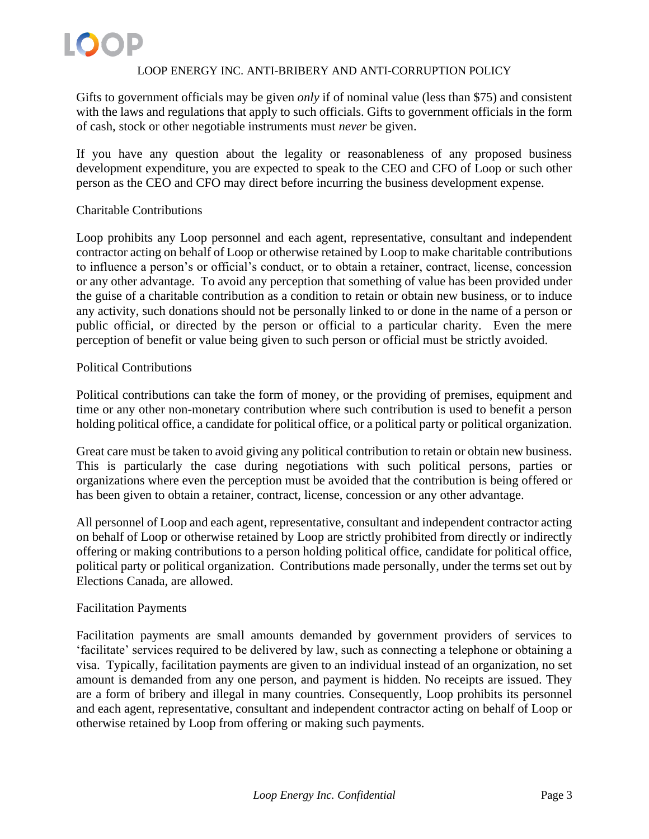Gifts to government officials may be given *only* if of nominal value (less than \$75) and consistent with the laws and regulations that apply to such officials. Gifts to government officials in the form of cash, stock or other negotiable instruments must *never* be given.

If you have any question about the legality or reasonableness of any proposed business development expenditure, you are expected to speak to the CEO and CFO of Loop or such other person as the CEO and CFO may direct before incurring the business development expense.

# Charitable Contributions

Loop prohibits any Loop personnel and each agent, representative, consultant and independent contractor acting on behalf of Loop or otherwise retained by Loop to make charitable contributions to influence a person's or official's conduct, or to obtain a retainer, contract, license, concession or any other advantage. To avoid any perception that something of value has been provided under the guise of a charitable contribution as a condition to retain or obtain new business, or to induce any activity, such donations should not be personally linked to or done in the name of a person or public official, or directed by the person or official to a particular charity. Even the mere perception of benefit or value being given to such person or official must be strictly avoided.

### Political Contributions

Political contributions can take the form of money, or the providing of premises, equipment and time or any other non-monetary contribution where such contribution is used to benefit a person holding political office, a candidate for political office, or a political party or political organization.

Great care must be taken to avoid giving any political contribution to retain or obtain new business. This is particularly the case during negotiations with such political persons, parties or organizations where even the perception must be avoided that the contribution is being offered or has been given to obtain a retainer, contract, license, concession or any other advantage.

All personnel of Loop and each agent, representative, consultant and independent contractor acting on behalf of Loop or otherwise retained by Loop are strictly prohibited from directly or indirectly offering or making contributions to a person holding political office, candidate for political office, political party or political organization. Contributions made personally, under the terms set out by Elections Canada, are allowed.

# Facilitation Payments

Facilitation payments are small amounts demanded by government providers of services to 'facilitate' services required to be delivered by law, such as connecting a telephone or obtaining a visa. Typically, facilitation payments are given to an individual instead of an organization, no set amount is demanded from any one person, and payment is hidden. No receipts are issued. They are a form of bribery and illegal in many countries. Consequently, Loop prohibits its personnel and each agent, representative, consultant and independent contractor acting on behalf of Loop or otherwise retained by Loop from offering or making such payments.